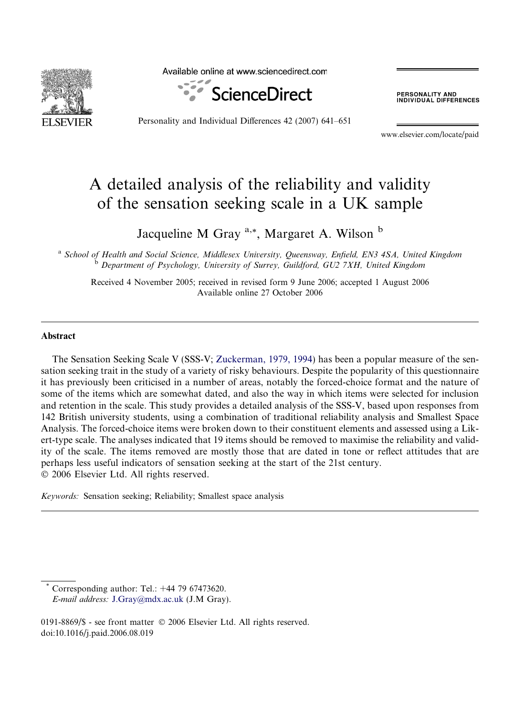

Available online at www.sciencedirect.com



Personality and Individual Differences 42 (2007) 641–651

**PERSONALITY AND<br>INDIVIDUAL DIFFERENCES** 

www.elsevier.com/locate/paid

## A detailed analysis of the reliability and validity of the sensation seeking scale in a UK sample

Jacqueline M Gray  $a_{\alpha *}$ , Margaret A. Wilson  $\beta$ 

<sup>a</sup> School of Health and Social Science, Middlesex University, Queensway, Enfield, EN3 4SA, United Kingdom b Department of Psychology, University of Surrey, Guildford, GU2 7XH, United Kingdom

Received 4 November 2005; received in revised form 9 June 2006; accepted 1 August 2006 Available online 27 October 2006

## Abstract

The Sensation Seeking Scale V (SSS-V; [Zuckerman, 1979, 1994\)](#page--1-0) has been a popular measure of the sensation seeking trait in the study of a variety of risky behaviours. Despite the popularity of this questionnaire it has previously been criticised in a number of areas, notably the forced-choice format and the nature of some of the items which are somewhat dated, and also the way in which items were selected for inclusion and retention in the scale. This study provides a detailed analysis of the SSS-V, based upon responses from 142 British university students, using a combination of traditional reliability analysis and Smallest Space Analysis. The forced-choice items were broken down to their constituent elements and assessed using a Likert-type scale. The analyses indicated that 19 items should be removed to maximise the reliability and validity of the scale. The items removed are mostly those that are dated in tone or reflect attitudes that are perhaps less useful indicators of sensation seeking at the start of the 21st century. © 2006 Elsevier Ltd. All rights reserved.

Keywords: Sensation seeking; Reliability; Smallest space analysis

Corresponding author: Tel.:  $+44$  79 67473620.

E-mail address: [J.Gray@mdx.ac.uk](mailto:J.Gray@mdx.ac.uk) (J.M Gray).

0191-8869/\$ - see front matter © 2006 Elsevier Ltd. All rights reserved. doi:10.1016/j.paid.2006.08.019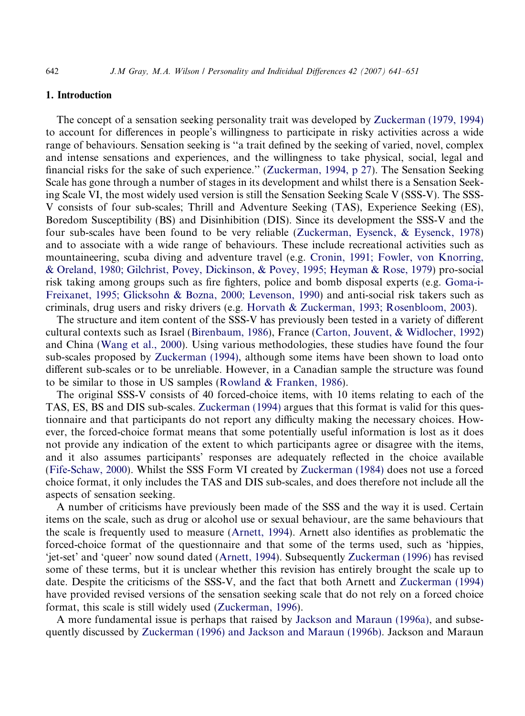## 1. Introduction

The concept of a sensation seeking personality trait was developed by [Zuckerman \(1979, 1994\)](#page--1-0) to account for differences in people's willingness to participate in risky activities across a wide range of behaviours. Sensation seeking is ''a trait defined by the seeking of varied, novel, complex and intense sensations and experiences, and the willingness to take physical, social, legal and financial risks for the sake of such experience.'' ([Zuckerman, 1994, p 27](#page--1-0)). The Sensation Seeking Scale has gone through a number of stages in its development and whilst there is a Sensation Seeking Scale VI, the most widely used version is still the Sensation Seeking Scale V (SSS-V). The SSS-V consists of four sub-scales; Thrill and Adventure Seeking (TAS), Experience Seeking (ES), Boredom Susceptibility (BS) and Disinhibition (DIS). Since its development the SSS-V and the four sub-scales have been found to be very reliable [\(Zuckerman, Eysenck, & Eysenck, 1978](#page--1-0)) and to associate with a wide range of behaviours. These include recreational activities such as mountaineering, scuba diving and adventure travel (e.g. [Cronin, 1991; Fowler, von Knorring,](#page--1-0) [& Oreland, 1980; Gilchrist, Povey, Dickinson, & Povey, 1995; Heyman & Rose, 1979](#page--1-0)) pro-social risk taking among groups such as fire fighters, police and bomb disposal experts (e.g. [Goma-i-](#page--1-0)[Freixanet, 1995; Glicksohn & Bozna, 2000; Levenson, 1990\)](#page--1-0) and anti-social risk takers such as criminals, drug users and risky drivers (e.g. [Horvath & Zuckerman, 1993; Rosenbloom, 2003\)](#page--1-0).

The structure and item content of the SSS-V has previously been tested in a variety of different cultural contexts such as Israel [\(Birenbaum, 1986](#page--1-0)), France [\(Carton, Jouvent, & Widlocher, 1992](#page--1-0)) and China ([Wang et al., 2000](#page--1-0)). Using various methodologies, these studies have found the four sub-scales proposed by [Zuckerman \(1994\)](#page--1-0), although some items have been shown to load onto different sub-scales or to be unreliable. However, in a Canadian sample the structure was found to be similar to those in US samples ([Rowland & Franken, 1986\)](#page--1-0).

The original SSS-V consists of 40 forced-choice items, with 10 items relating to each of the TAS, ES, BS and DIS sub-scales. [Zuckerman \(1994\)](#page--1-0) argues that this format is valid for this questionnaire and that participants do not report any difficulty making the necessary choices. However, the forced-choice format means that some potentially useful information is lost as it does not provide any indication of the extent to which participants agree or disagree with the items, and it also assumes participants' responses are adequately reflected in the choice available [\(Fife-Schaw, 2000\)](#page--1-0). Whilst the SSS Form VI created by [Zuckerman \(1984\)](#page--1-0) does not use a forced choice format, it only includes the TAS and DIS sub-scales, and does therefore not include all the aspects of sensation seeking.

A number of criticisms have previously been made of the SSS and the way it is used. Certain items on the scale, such as drug or alcohol use or sexual behaviour, are the same behaviours that the scale is frequently used to measure [\(Arnett, 1994\)](#page--1-0). Arnett also identifies as problematic the forced-choice format of the questionnaire and that some of the terms used, such as 'hippies, 'jet-set' and 'queer' now sound dated [\(Arnett, 1994](#page--1-0)). Subsequently [Zuckerman \(1996\)](#page--1-0) has revised some of these terms, but it is unclear whether this revision has entirely brought the scale up to date. Despite the criticisms of the SSS-V, and the fact that both Arnett and [Zuckerman \(1994\)](#page--1-0) have provided revised versions of the sensation seeking scale that do not rely on a forced choice format, this scale is still widely used ([Zuckerman, 1996](#page--1-0)).

A more fundamental issue is perhaps that raised by [Jackson and Maraun \(1996a\)](#page--1-0), and subsequently discussed by [Zuckerman \(1996\) and Jackson and Maraun \(1996b\).](#page--1-0) Jackson and Maraun